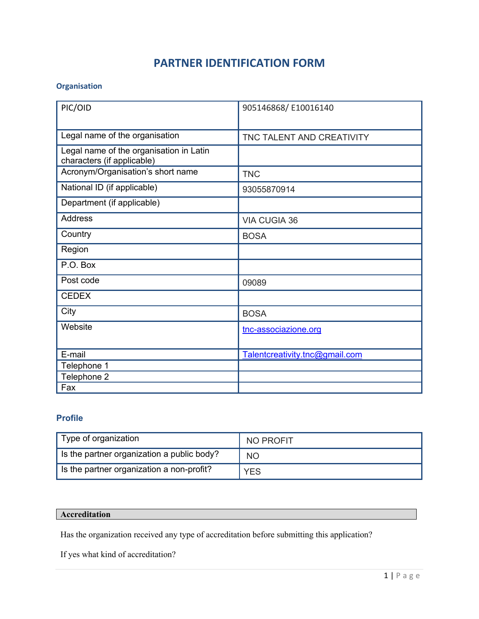# **PARTNER IDENTIFICATION FORM**

#### **Organisation**

| PIC/OID                                                               | 905146868/E10016140            |
|-----------------------------------------------------------------------|--------------------------------|
| Legal name of the organisation                                        | TNC TALENT AND CREATIVITY      |
| Legal name of the organisation in Latin<br>characters (if applicable) |                                |
| Acronym/Organisation's short name                                     | <b>TNC</b>                     |
| National ID (if applicable)                                           | 93055870914                    |
| Department (if applicable)                                            |                                |
| <b>Address</b>                                                        | <b>VIA CUGIA 36</b>            |
| Country                                                               | <b>BOSA</b>                    |
| Region                                                                |                                |
| P.O. Box                                                              |                                |
| Post code                                                             | 09089                          |
| <b>CEDEX</b>                                                          |                                |
| City                                                                  | <b>BOSA</b>                    |
| Website                                                               | tnc-associazione.org           |
| E-mail                                                                | Talentcreativity.tnc@gmail.com |
| Telephone 1                                                           |                                |
| Telephone 2                                                           |                                |
| Fax                                                                   |                                |

### **Profile**

| Type of organization                       | NO PROFIT  |
|--------------------------------------------|------------|
| Is the partner organization a public body? | <b>NO</b>  |
| Is the partner organization a non-profit?  | <b>YES</b> |

#### **Accreditation**

Has the organization received any type of accreditation before submitting this application?

If yes what kind of accreditation?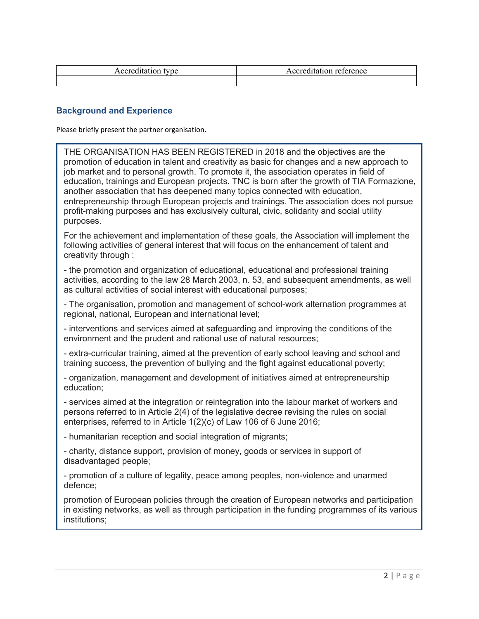| 10 T. |
|-------|
|       |

#### **Background and Experience**

Please briefly present the partner organisation.

THE ORGANISATION HAS BEEN REGISTERED in 2018 and the objectives are the promotion of education in talent and creativity as basic for changes and a new approach to job market and to personal growth. To promote it, the association operates in field of education, trainings and European projects. TNC is born after the growth of TIA Formazione, another association that has deepened many topics connected with education, entrepreneurship through European projects and trainings. The association does not pursue profit-making purposes and has exclusively cultural, civic, solidarity and social utility purposes.

For the achievement and implementation of these goals, the Association will implement the following activities of general interest that will focus on the enhancement of talent and creativity through :

- the promotion and organization of educational, educational and professional training activities, according to the law 28 March 2003, n. 53, and subsequent amendments, as well as cultural activities of social interest with educational purposes;

- The organisation, promotion and management of school-work alternation programmes at regional, national, European and international level;

- interventions and services aimed at safeguarding and improving the conditions of the environment and the prudent and rational use of natural resources;

- extra-curricular training, aimed at the prevention of early school leaving and school and training success, the prevention of bullying and the fight against educational poverty;

- organization, management and development of initiatives aimed at entrepreneurship education;

- services aimed at the integration or reintegration into the labour market of workers and persons referred to in Article 2(4) of the legislative decree revising the rules on social enterprises, referred to in Article 1(2)(c) of Law 106 of 6 June 2016;

- humanitarian reception and social integration of migrants;

- charity, distance support, provision of money, goods or services in support of disadvantaged people;

- promotion of a culture of legality, peace among peoples, non-violence and unarmed defence;

promotion of European policies through the creation of European networks and participation in existing networks, as well as through participation in the funding programmes of its various institutions;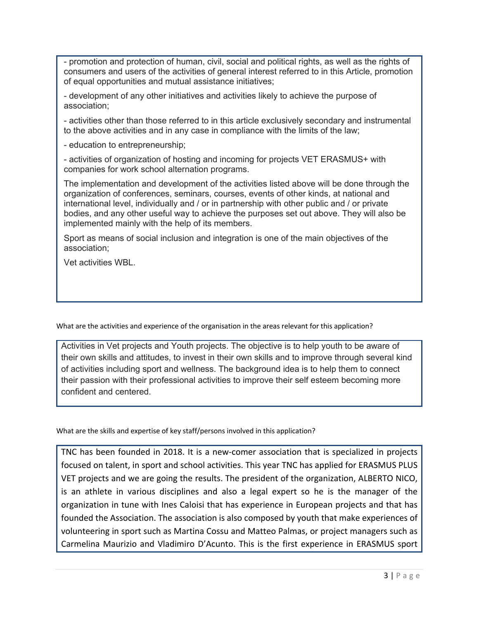- promotion and protection of human, civil, social and political rights, as well as the rights of consumers and users of the activities of general interest referred to in this Article, promotion of equal opportunities and mutual assistance initiatives;

- development of any other initiatives and activities likely to achieve the purpose of association;

- activities other than those referred to in this article exclusively secondary and instrumental to the above activities and in any case in compliance with the limits of the law;

- education to entrepreneurship;

- activities of organization of hosting and incoming for projects VET ERASMUS+ with companies for work school alternation programs.

The implementation and development of the activities listed above will be done through the organization of conferences, seminars, courses, events of other kinds, at national and international level, individually and / or in partnership with other public and / or private bodies, and any other useful way to achieve the purposes set out above. They will also be implemented mainly with the help of its members.

Sport as means of social inclusion and integration is one of the main objectives of the association;

Vet activities WBL.

What are the activities and experience of the organisation in the areas relevant for this application?

Activities in Vet projects and Youth projects. The objective is to help youth to be aware of their own skills and attitudes, to invest in their own skills and to improve through several kind of activities including sport and wellness. The background idea is to help them to connect their passion with their professional activities to improve their self esteem becoming more confident and centered.

What are the skills and expertise of key staff/persons involved in this application?

TNC has been founded in 2018. It is a new-comer association that is specialized in projects focused on talent, in sport and school activities. This year TNC has applied for ERASMUS PLUS VET projects and we are going the results. The president of the organization, ALBERTO NICO, is an athlete in various disciplines and also a legal expert so he is the manager of the organization in tune with Ines Caloisi that has experience in European projects and that has founded the Association. The association is also composed by youth that make experiences of volunteering in sport such as Martina Cossu and Matteo Palmas, or project managers such as Carmelina Maurizio and Vladimiro D'Acunto. This is the first experience in ERASMUS sport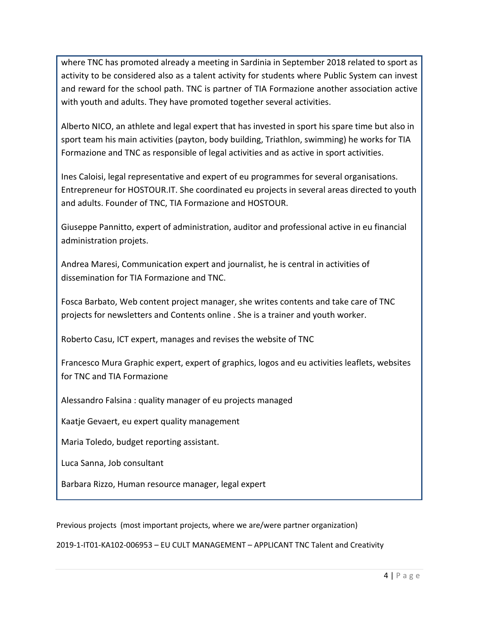where TNC has promoted already a meeting in Sardinia in September 2018 related to sport as activity to be considered also as a talent activity for students where Public System can invest and reward for the school path. TNC is partner of TIA Formazione another association active with youth and adults. They have promoted together several activities.

Alberto NICO, an athlete and legal expert that has invested in sport his spare time but also in sport team his main activities (payton, body building, Triathlon, swimming) he works for TIA Formazione and TNC as responsible of legal activities and as active in sport activities.

Ines Caloisi, legal representative and expert of eu programmes for several organisations. Entrepreneur for HOSTOUR.IT. She coordinated eu projects in several areas directed to youth and adults. Founder of TNC, TIA Formazione and HOSTOUR.

Giuseppe Pannitto, expert of administration, auditor and professional active in eu financial administration projets.

Andrea Maresi, Communication expert and journalist, he is central in activities of dissemination for TIA Formazione and TNC.

Fosca Barbato, Web content project manager, she writes contents and take care of TNC projects for newsletters and Contents online . She is a trainer and youth worker.

Roberto Casu, ICT expert, manages and revises the website of TNC

Francesco Mura Graphic expert, expert of graphics, logos and eu activities leaflets, websites for TNC and TIA Formazione

Alessandro Falsina : quality manager of eu projects managed

Kaatje Gevaert, eu expert quality management

Maria Toledo, budget reporting assistant.

Luca Sanna, Job consultant

Barbara Rizzo, Human resource manager, legal expert

Previous projects (most important projects, where we are/were partner organization)

2019-1-IT01-KA102-006953 – EU CULT MANAGEMENT – APPLICANT TNC Talent and Creativity